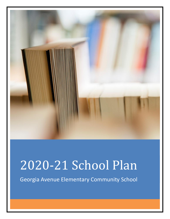

# 2020-21 School Plan

Georgia Avenue Elementary Community School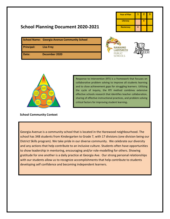# **School Planning Document 2020-2021**

| <b>Year of Plan</b> | ъ | 2 | в |
|---------------------|---|---|---|
| <b>Literacy</b>     |   |   |   |
| <b>Numeracy</b>     | X |   |   |

|                   | <b>School Name: Georgia Avenue Community School</b> |
|-------------------|-----------------------------------------------------|
| <b>Principal:</b> | <b>Lisa Frey</b>                                    |
| Date:             | December 2020                                       |





# **School Community Context**

Response to Intervention (RTI) is a framework that focuses on collaborative problem solving to improve all students learning and to close achievement gaps for struggling learners. Utilizing the cycle of inquiry, the RTI method combines extensive effective schools research that identifies teacher collaboration, sharing of effective instructional practices, and problem solving critical factors for improving student learning**.**

Georgia Avenue is a community school that is located in the Harewood neighbourhood. The school has 348 students from Kindergarten to Grade 7, with 17 divisions (one division being our District Skills program). We take pride in our diverse community. We celebrate our diversity and any actions that help contribute to an inclusive culture. Students often have opportunities to show leadership in mentoring, encouraging and/or role-modelling for others. Showing gratitude for one another is a daily practice at Georgia Ave. Our strong personal relationships with our students allow us to recognize accomplishments that help contribute to students developing self confidence and becoming independent learners.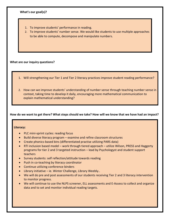# **What's our goal(s)?**

- 1. To improve students' performance in reading.
- 2. To improve students' number sense. We would like students to use multiple approaches to be able to compute, decompose and manipulate numbers.

#### **What are our inquiry questions?**

- 1. Will strengthening our Tier 1 and Tier 2 literacy practices improve student reading performance?
- 2. How can we improve students' understanding of number sense through teaching number sense in context, taking time to develop it daily, encouraging more mathematical communication to explain mathematical understanding?

# **How do we want to get there? What steps should we take? How will we know that we have had an impact?**

# **Literacy:**

- PLC mini-sprint cycles: reading focus
- Build diverse literacy program examine and refine classroom structures
- Create phonics-based bins (differentiated practise utilizing PARS data)
- RTI inclusion based model work through tiered approach utilize Wilson, PRESS and Haggerty programs for tier 2 and 3 targeted instruction – lead by Psychologyst and student support teachers
- Survey students: self reflection/attitude towards reading
- Push in co-teaching by literacy coordinator
- Continue utilizing conference binders
- Library initiative ie. Winter Challenge, Library Weebly..
- We will do pre and post assessments of our students receiving Tier 2 and 3 literacy intervention to monitor progress.
- We will continue to use the NLPS screener, ELL assessments and E-Assess to collect and organize data and to set and monitor individual reading targets.